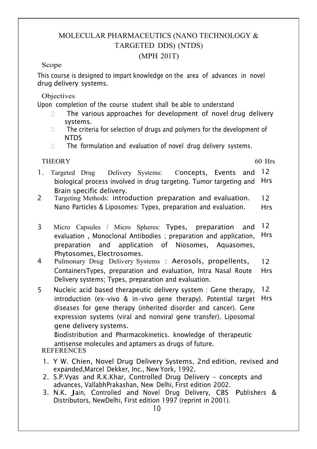# MOLECULAR PHARMACEUTICS (NANO TECHNOLOGY & TARGETED DDS) (NTDS)

## (MPH 201T)

#### Scope

This course is designed to impart knowledge on the area of advances in novel drug delivery systems.

Objectives

Upon completion of the course student shall be able to understand

- □ The various approaches for development of novel drug delivery systems.
- $\Box$  The criteria for selection of drugs and polymers for the development of NTDS **NTDS**
- The formulation and evaluation of novel drug delivery systems.

THEORY 60 Hrs

- 1. Targeted Drug Delivery Systems: Concepts, Events and 12 biological process involved in drug targeting. Tumor targeting and Hrs Brain specific delivery.
- 2 Targeting Methods: introduction preparation and evaluation. Nano Particles & Liposomes: Types, preparation and evaluation. 12 Hrs
- 3 Micro Capsules / Micro Spheres: Types, preparation and evaluation , Monoclonal Antibodies ; preparation and application, preparation and application of Niosomes, Aquasomes, Phytosomes, Electrosomes. 12 Hrs
- 4 Pulmonary Drug Delivery Systems : Aerosols, propellents, ContainersTypes, preparation and evaluation, Intra Nasal Route Delivery systems; Types, preparation and evaluation. 12 Hrs
- 5 Nucleic acid based therapeutic delivery system : Gene therapy, introduction (ex-vivo & in-vivo gene therapy). Potential target Hrs diseases for gene therapy (inherited disorder and cancer). Gene expression systems (viral and nonviral gene transfer). Liposomal gene delivery systems. 12

Biodistribution and Pharmacokinetics. knowledge of therapeutic antisense molecules and aptamers as drugs of future.

- 1. Y W. Chien, Novel Drug Delivery Systems, 2nd edition, revised and expanded,Marcel Dekker, Inc., New York, 1992.
- 2. S.P.Vyas and R.K.Khar, Controlled Drug Delivery concepts and advances, VallabhPrakashan, New Delhi, First edition 2002.
- 3. N.K. Jain, Controlled and Novel Drug Delivery, CBS Publishers & Distributors, NewDelhi, First edition 1997 (reprint in 2001).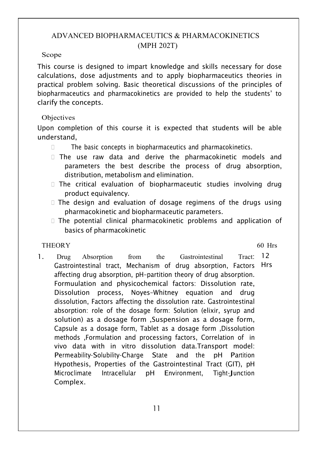## ADVANCED BIOPHARMACEUTICS & PHARMACOKINETICS (MPH 202T)

#### Scope

This course is designed to impart knowledge and skills necessary for dose calculations, dose adjustments and to apply biopharmaceutics theories in practical problem solving. Basic theoretical discussions of the principles of biopharmaceutics and pharmacokinetics are provided to help the students' to clarify the concepts.

## Objectives

Upon completion of this course it is expected that students will be able understand,

- $\square$  The basic concepts in biopharmaceutics and pharmacokinetics.
- The use raw data and derive the pharmacokinetic models and parameters the best describe the process of drug absorption, distribution, metabolism and elimination.
- $\square$  The critical evaluation of biopharmaceutic studies involving drug product equivalency.
- The design and evaluation of dosage regimens of the drugs using pharmacokinetic and biopharmaceutic parameters.
- $\Box$  The potential clinical pharmacokinetic problems and application of basics of pharmacokinetic

## THEORY 60 Hrs

1. Drug Absorption from the Gastrointestinal Tract: Gastrointestinal tract, Mechanism of drug absorption, Factors Hrs affecting drug absorption, pH–partition theory of drug absorption. Formuulation and physicochemical factors: Dissolution rate, Dissolution process, Noyes–Whitney equation and drug dissolution, Factors affecting the dissolution rate. Gastrointestinal absorption: role of the dosage form: Solution (elixir, syrup and solution) as a dosage form ,Suspension as a dosage form, Capsule as a dosage form, Tablet as a dosage form ,Dissolution methods ,Formulation and processing factors, Correlation of in vivo data with in vitro dissolution data.Transport model: Permeability-Solubility-Charge State and the pH Partition Hypothesis, Properties of the Gastrointestinal Tract (GIT), pH Microclimate Intracellular pH Environment, Tight-Junction Complex. 12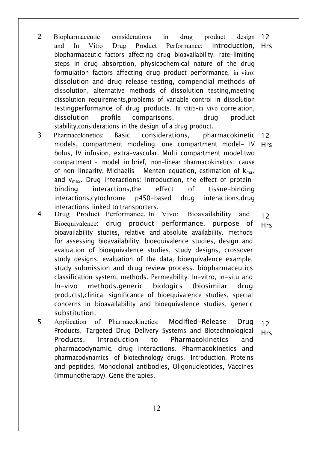- 2 Biopharmaceutic considerations in drug product and In Vitro Drug Product Performance: Introduction, Hrs biopharmaceutic factors affecting drug bioavailability, rate-limiting steps in drug absorption, physicochemical nature of the drug formulation factors affecting drug product performance, in vitro: dissolution and drug release testing, compendial methods of dissolution, alternative methods of dissolution testing,meeting dissolution requirements,problems of variable control in dissolution testingperformance of drug products. In vitro–in vivo correlation, dissolution profile comparisons, drug product stability,considerations in the design of a drug product. design 12
- 3 Pharmacokinetics: Basic considerations, pharmacokinetic 12 models, compartment modeling: one compartment model- IV Hrs bolus, IV infusion, extra-vascular. Multi compartment model:two compartment - model in brief, non-linear pharmacokinetics: cause of non-linearity, Michaelis - Menten equation, estimation of  $k_{max}$  and  $v_{max}$ . Drug interactions: introduction, the effect of proteinbinding interactions,the effect of tissue-binding interactions,cytochrome p450-based drug interactions,drug interactions linked to transporters.
- 4 Drug Product Performance, In Vivo: Bioavailability and Bioequivalence: drug product performance, purpose of bioavailability studies, relative and absolute availability. methods for assessing bioavailability, bioequivalence studies, design and evaluation of bioequivalence studies, study designs, crossover study designs, evaluation of the data, bioequivalence example, study submission and drug review process. biopharmaceutics classification system, methods. Permeability: In-vitro, in-situ and In-vivo methods.generic biologics (biosimilar drug products),clinical significance of bioequivalence studies, special concerns in bioavailability and bioequivalence studies, generic substitution. 12 Hrs
- 5 Application of Pharmacokinetics: Modified-Release Drug Products, Targeted Drug Delivery Systems and Biotechnological Products. Introduction to Pharmacokinetics and pharmacodynamic, drug interactions. Pharmacokinetics and pharmacodynamics of biotechnology drugs. Introduction, Proteins and peptides, Monoclonal antibodies, Oligonucleotides, Vaccines (immunotherapy), Gene therapies. 12 Hrs

 $12$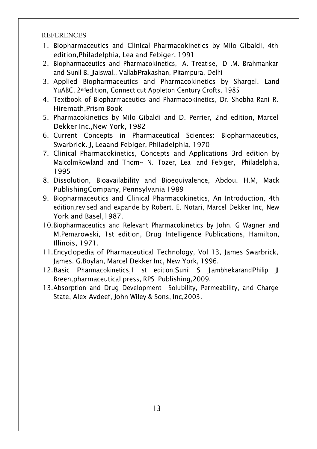- 1. Biopharmaceutics and Clinical Pharmacokinetics by Milo Gibaldi, 4th edition,Philadelphia, Lea and Febiger, 1991
- 2. Biopharmaceutics and Pharmacokinetics, A. Treatise, D .M. Brahmankar and Sunil B. Jaiswal., VallabPrakashan, Pitampura, Delhi
- 3. Applied Biopharmaceutics and Pharmacokinetics by Shargel. Land YuABC, 2ndedition, Connecticut Appleton Century Crofts, 1985
- 4. Textbook of Biopharmaceutics and Pharmacokinetics, Dr. Shobha Rani R. Hiremath,Prism Book
- 5. Pharmacokinetics by Milo Gibaldi and D. Perrier, 2nd edition, Marcel Dekker Inc.,New York, 1982
- 6. Current Concepts in Pharmaceutical Sciences: Biopharmaceutics, Swarbrick. J, Leaand Febiger, Philadelphia, 1970
- 7. Clinical Pharmacokinetics, Concepts and Applications 3rd edition by MalcolmRowland and Thom~ N. Tozer, Lea and Febiger, Philadelphia, 1995
- 8. Dissolution, Bioavailability and Bioequivalence, Abdou. H.M, Mack PublishingCompany, Pennsylvania 1989
- 9. Biopharmaceutics and Clinical Pharmacokinetics, An Introduction, 4th edition,revised and expande by Robert. E. Notari, Marcel Dekker Inc, New York and Basel,1987.
- 10.Biopharmaceutics and Relevant Pharmacokinetics by John. G Wagner and M.Pemarowski, 1st edition, Drug Intelligence Publications, Hamilton, Illinois, 1971.
- 11.Encyclopedia of Pharmaceutical Technology, Vol 13, James Swarbrick, James. G.Boylan, Marcel Dekker Inc, New York, 1996.
- 12. Basic Pharmacokinetics, 1 st edition, Sunil S Jambhekarand Philip J Breen,pharmaceutical press, RPS Publishing,2009.
- 13.Absorption and Drug Development- Solubility, Permeability, and Charge State, Alex Avdeef, John Wiley & Sons, Inc,2003.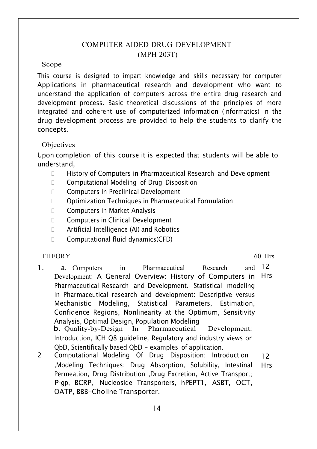## COMPUTER AIDED DRUG DEVELOPMENT (MPH 203T)

#### Scope

This course is designed to impart knowledge and skills necessary for computer Applications in pharmaceutical research and development who want to understand the application of computers across the entire drug research and development process. Basic theoretical discussions of the principles of more integrated and coherent use of computerized information (informatics) in the drug development process are provided to help the students to clarify the concepts.

#### Objectives

Upon completion of this course it is expected that students will be able to understand,

- **EXT** History of Computers in Pharmaceutical Research and Development
- □ Computational Modeling of Drug Disposition
- □ Computers in Preclinical Development
- Optimization Techniques in Pharmaceutical Formulation
- □ Computers in Market Analysis
- □ Computers in Clinical Development
- □ Artificial Intelligence (AI) and Robotics
- □ Computational fluid dynamics(CFD)

### THEORY 60 Hrs and the contract of the contract of the contract of the contract of the contract of the contract of the contract of the contract of the contract of the contract of the contract of the contract of the contract

- 1. a. Computers in Pharmaceutical Research Development: A General Overview: History of Computers in Hrs Pharmaceutical Research and Development. Statistical modeling in Pharmaceutical research and development: Descriptive versus Mechanistic Modeling, Statistical Parameters, Estimation, Confidence Regions, Nonlinearity at the Optimum, Sensitivity Analysis, Optimal Design, Population Modeling<br>b. Quality-by-Design In Pharmaceutical Development: b. Quality-by-Design In Pharmaceutical Introduction, ICH Q8 guideline, Regulatory and industry views on QbD, Scientifically based QbD - examples of application. and  $12$
- 2 Computational Modeling Of Drug Disposition: Introduction ,Modeling Techniques: Drug Absorption, Solubility, Intestinal Permeation, Drug Distribution ,Drug Excretion, Active Transport; P-gp, BCRP, Nucleoside Transporters, hPEPT1, ASBT, OCT, OATP, BBB-Choline Transporter. 12 Hrs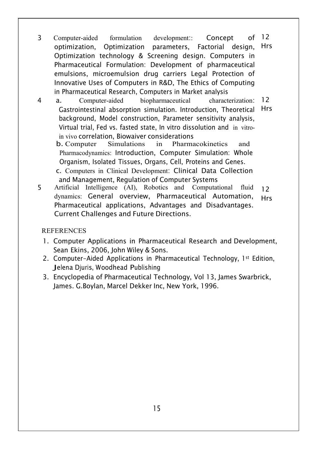- 3 Computer-aided formulation development:: Concept optimization, Optimization parameters, Factorial design, Optimization technology & Screening design. Computers in Pharmaceutical Formulation: Development of pharmaceutical emulsions, microemulsion drug carriers Legal Protection of Innovative Uses of Computers in R&D, The Ethics of Computing in Pharmaceutical Research, Computers in Market analysis  $of$  12 Hrs
- 4 a. Computer-aided biopharmaceutical characterization: Gastrointestinal absorption simulation. Introduction, Theoretical Hrs background, Model construction, Parameter sensitivity analysis, Virtual trial, Fed vs. fasted state, In vitro dissolution and in vitroin vivo correlation, Biowaiver considerations<br> **b.** Computer Simulations in Pharmacokinetics and 12

**Pharmacokinetics** Pharmacodynamics: Introduction, Computer Simulation: Whole Organism, Isolated Tissues, Organs, Cell, Proteins and Genes.

- c. Computers in Clinical Development: Clinical Data Collection and Management, Regulation of Computer Systems<br>rtificial Intelligence (AI) Robotics and Computational fluid
- 5 Artificial Intelligence (AI), Robotics and Computational dynamics: General overview, Pharmaceutical Automation, Pharmaceutical applications, Advantages and Disadvantages. Current Challenges and Future Directions. 12 Hrs

- 1. Computer Applications in Pharmaceutical Research and Development, Sean Ekins, 2006, John Wiley & Sons.
- 2. Computer-Aided Applications in Pharmaceutical Technology, 1st Edition, Jelena Djuris, Woodhead Publishing
- 3. Encyclopedia of Pharmaceutical Technology, Vol 13, James Swarbrick, James. G.Boylan, Marcel Dekker Inc, New York, 1996.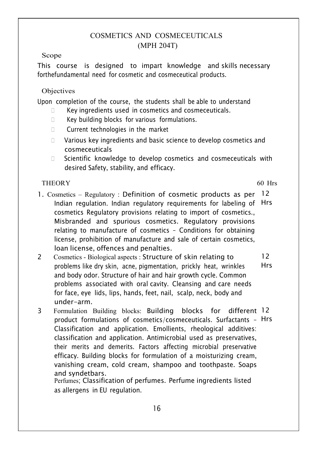## COSMETICS AND COSMECEUTICALS (MPH 204T)

Scope

This course is designed to impart knowledge and skills necessary forthefundamental need for cosmetic and cosmeceutical products.

## Objectives

Upon completion of the course, the students shall be able to understand

- Key ingredients used in cosmetics and cosmeceuticals.
- □ Key building blocks for various formulations.
- **Current technologies in the market**
- □ Various key ingredients and basic science to develop cosmetics and cosmeceuticals
- $\square$  Scientific knowledge to develop cosmetics and cosmeceuticals with desired Safety, stability, and efficacy.

## THEORY 60 Hrs

- 1. Cosmetics Regulatory : Definition of cosmetic products as per 12 Indian regulation. Indian regulatory requirements for labeling of Hrs cosmetics Regulatory provisions relating to import of cosmetics., Misbranded and spurious cosmetics. Regulatory provisions relating to manufacture of cosmetics – Conditions for obtaining license, prohibition of manufacture and sale of certain cosmetics, loan license, offences and penalties.
- 2 Cosmetics Biological aspects : Structure of skin relating to problems like dry skin, acne, pigmentation, prickly heat, wrinkles and body odor. Structure of hair and hair growth cycle. Common problems associated with oral cavity. Cleansing and care needs for face, eye lids, lips, hands, feet, nail, scalp, neck, body and under-arm. 12 Hrs
- 3 Formulation Building blocks: Building blocks for different 12 product formulations of cosmetics/cosmeceuticals. Surfactants – Hrs Classification and application. Emollients, rheological additives: classification and application. Antimicrobial used as preservatives, their merits and demerits. Factors affecting microbial preservative efficacy. Building blocks for formulation of a moisturizing cream, vanishing cream, cold cream, shampoo and toothpaste. Soaps and syndetbars.

Perfumes; Classification of perfumes. Perfume ingredients listed as allergens in EU regulation.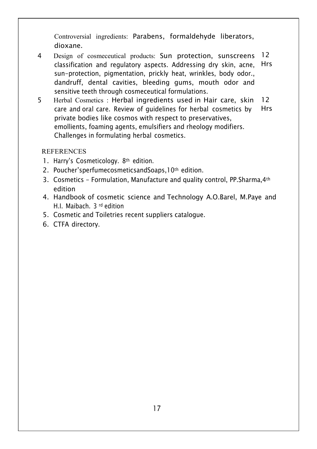Controversial ingredients: Parabens, formaldehyde liberators, dioxane.

- 4 Design of cosmeceutical products: Sun protection, sunscreens classification and regulatory aspects. Addressing dry skin, acne, sun-protection, pigmentation, prickly heat, wrinkles, body odor., dandruff, dental cavities, bleeding gums, mouth odor and sensitive teeth through cosmeceutical formulations. 12 Hrs
- 5 Herbal Cosmetics : Herbal ingredients used in Hair care, skin care and oral care. Review of guidelines for herbal cosmetics by private bodies like cosmos with respect to preservatives, emollients, foaming agents, emulsifiers and rheology modifiers. Challenges in formulating herbal cosmetics. 12 Hrs

- 1. Harry's Cosmeticology. 8<sup>th</sup> edition.
- 2. Poucher'sperfumecosmeticsandSoaps,10th edition.
- 3. Cosmetics Formulation, Manufacture and quality control, PP.Sharma,4th edition and the contract of the contract of the contract of the contract of the contract of the contract of the
- 4. Handbook of cosmetic science and Technology A.O.Barel, M.Paye and H.I. Maibach. 3 rd edition
- 5. Cosmetic and Toiletries recent suppliers catalogue.
- 6. CTFA directory.